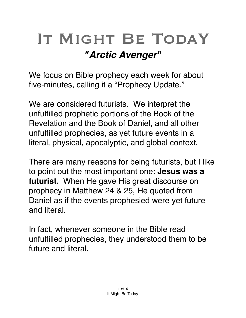## IT MIGHT BE TODAY *"Arctic Avenger"*

We focus on Bible prophecy each week for about five-minutes, calling it a "Prophecy Update."

We are considered futurists. We interpret the unfulfilled prophetic portions of the Book of the Revelation and the Book of Daniel, and all other unfulfilled prophecies, as yet future events in a literal, physical, [apocalyptic](https://en.m.wikipedia.org/wiki/Apocalypticism), and global context.

There are many reasons for being futurists, but I like to point out the most important one: **Jesus was a futurist.** When He gave His great discourse on prophecy in Matthew 24 & 25, He quoted from Daniel as if the events prophesied were yet future and literal.

In fact, whenever someone in the Bible read unfulfilled prophecies, they understood them to be future and literal.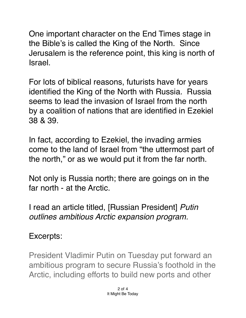One important character on the End Times stage in the Bible's is called the King of the North. Since Jerusalem is the reference point, this king is north of Israel.

For lots of biblical reasons, futurists have for years identified the King of the North with Russia. Russia seems to lead the invasion of Israel from the north by a coalition of nations that are identified in Ezekiel 38 & 39.

In fact, according to Ezekiel, the invading armies come to the land of Israel from "the uttermost part of the north," or as we would put it from the far north.

Not only is Russia north; there are goings on in the far north - at the Arctic.

I read an article titled, [Russian President] *Putin outlines ambitious Arctic expansion program.*

## Excerpts:

President Vladimir Putin on Tuesday put forward an ambitious program to secure [Russia's foothold](https://apnews.com/44c182c68f85475bb828942b53042b19) in the Arctic, including efforts to build new ports and other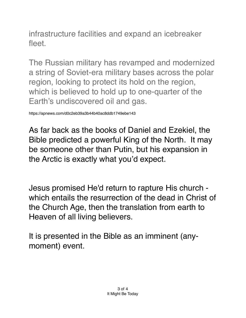infrastructure facilities and expand an icebreaker fleet.

The Russian military has revamped and modernized a string of Soviet-era military bases across the polar region, looking to protect its hold on the region, which is believed to hold up to one-quarter of the Earth's undiscovered oil and gas.

https://apnews.com/d0c2eb39a3b44b40ac8ddb1749ebe143

As far back as the books of Daniel and Ezekiel, the Bible predicted a powerful King of the North. It may be someone other than Putin, but his expansion in the Arctic is exactly what you'd expect.

Jesus promised He'd return to rapture His church which entails the resurrection of the dead in Christ of the Church Age, then the translation from earth to Heaven of all living believers.

It is presented in the Bible as an imminent (anymoment) event.